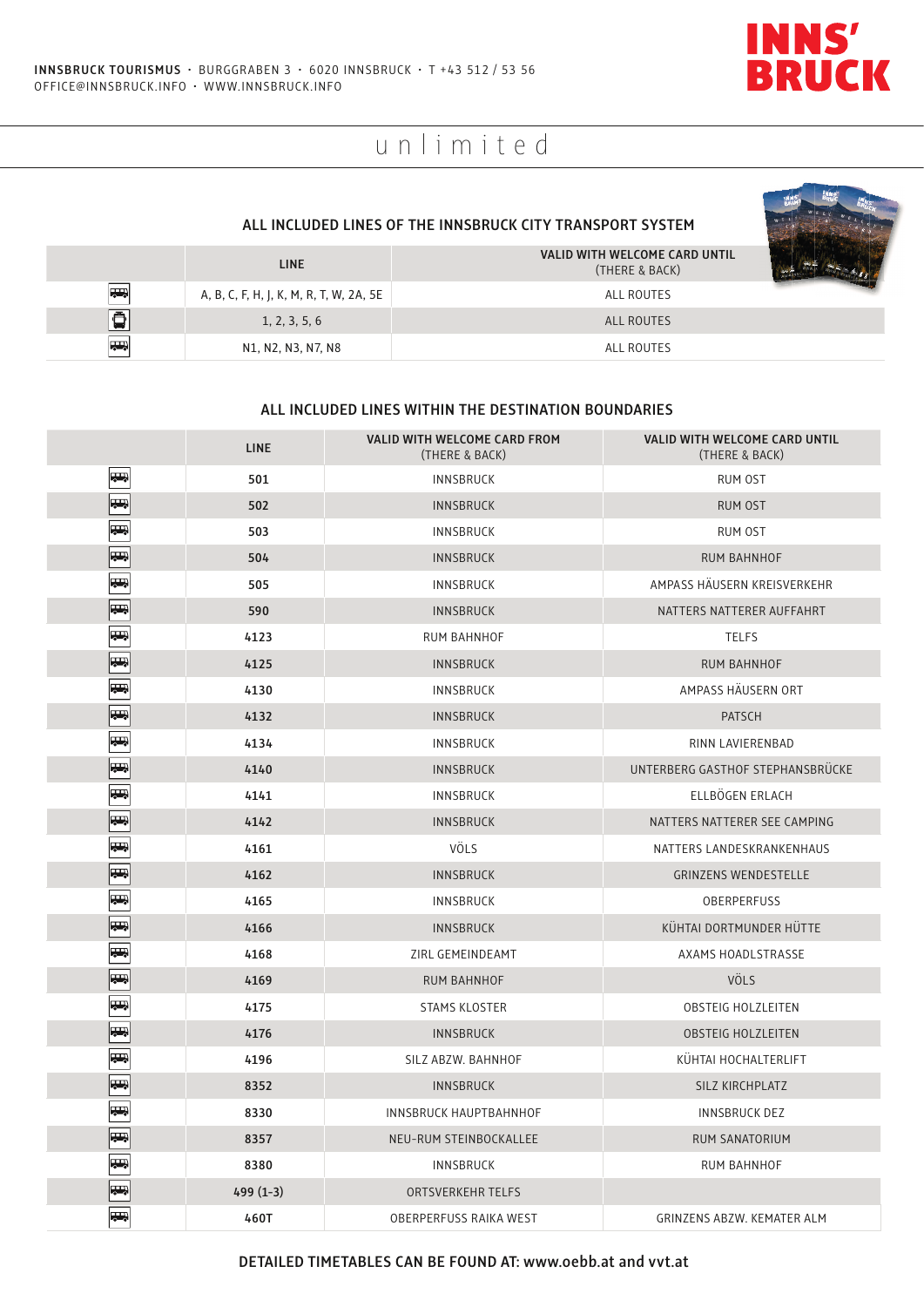

# unlimited

#### **ALL INCLUDED LINES OF THE INNSBRUCK CITY TRANSPORT SYSTEM**

|                | <b>LINE</b>                             | VALID WITH WELCOME CARD UNTIL<br>(THERE & BACK) |  |
|----------------|-----------------------------------------|-------------------------------------------------|--|
| <b>Respect</b> | A, B, C, F, H, J, K, M, R, T, W, 2A, 5E | ALL ROUTES                                      |  |
| 画              | 1, 2, 3, 5, 6                           | ALL ROUTES                                      |  |
| <b>RES</b>     | N1, N2, N3, N7, N8                      | ALL ROUTES                                      |  |

#### **ALL INCLUDED LINES WITHIN THE DESTINATION BOUNDARIES**

|                          | <b>LINE</b> | VALID WITH WELCOME CARD FROM<br>(THERE & BACK) | VALID WITH WELCOME CARD UNTIL<br>(THERE & BACK) |
|--------------------------|-------------|------------------------------------------------|-------------------------------------------------|
| $\overline{\phantom{a}}$ | 501         | INNSBRUCK                                      | RUM OST                                         |
| 55                       | 502         | <b>INNSBRUCK</b>                               | <b>RUM OST</b>                                  |
| Щ.                       | 503         | <b>INNSBRUCK</b>                               | <b>RUM OST</b>                                  |
| $\overline{\phantom{a}}$ | 504         | INNSBRUCK                                      | <b>RUM BAHNHOF</b>                              |
| $\overline{\phantom{a}}$ | 505         | INNSBRUCK                                      | AMPASS HAUSERN KREISVERKEHR                     |
| <b>REGIST</b>            | 590         | <b>INNSBRUCK</b>                               | NATTERS NATTERER AUFFAHRT                       |
| $\overline{\phantom{a}}$ | 4123        | <b>RUM BAHNHOF</b>                             | <b>TELFS</b>                                    |
| <b>T</b>                 | 4125        | <b>INNSBRUCK</b>                               | <b>RUM BAHNHOF</b>                              |
| $\overline{\phantom{a}}$ | 4130        | <b>INNSBRUCK</b>                               | AMPASS HÄUSERN ORT                              |
| <b>REA</b>               | 4132        | <b>INNSBRUCK</b>                               | <b>PATSCH</b>                                   |
| $\overline{\phantom{a}}$ | 4134        | <b>INNSBRUCK</b>                               | RINN LAVIERENBAD                                |
| <b>REA</b>               | 4140        | <b>INNSBRUCK</b>                               | UNTERBERG GASTHOF STEPHANSBRÜCKE                |
| $\overline{a}$           | 4141        | INNSBRUCK                                      | ELLBÖGEN ERLACH                                 |
| <b>REGIST</b>            | 4142        | <b>INNSBRUCK</b>                               | NATTERS NATTERER SEE CAMPING                    |
| $\overline{\phantom{a}}$ | 4161        | <b>VÖLS</b>                                    | NATTERS LANDESKRANKENHAUS                       |
| <b>THE</b>               | 4162        | <b>INNSBRUCK</b>                               | <b>GRINZENS WENDESTELLE</b>                     |
| $\overline{\phantom{a}}$ | 4165        | INNSBRUCK                                      | OBERPERFUSS                                     |
| $\overline{\phantom{a}}$ | 4166        | <b>INNSBRUCK</b>                               | KÜHTAI DORTMUNDER HÜTTE                         |
| $\overline{\phantom{a}}$ | 4168        | ZIRL GEMEINDEAMT                               | AXAMS HOADLSTRASSE                              |
| <b>Rep</b>               | 4169        | <b>RUM BAHNHOF</b>                             | <b>VÖLS</b>                                     |
| $\overline{\phantom{a}}$ | 4175        | <b>STAMS KLOSTER</b>                           | <b>OBSTEIG HOLZLEITEN</b>                       |
| $\overline{5}$           | 4176        | <b>INNSBRUCK</b>                               | <b>OBSTEIG HOLZLEITEN</b>                       |
| $\overline{\phantom{a}}$ | 4196        | SILZ ABZW. BAHNHOF                             | KÜHTAI HOCHALTERLIFT                            |
| <b>THE</b>               | 8352        | <b>INNSBRUCK</b>                               | SILZ KIRCHPLATZ                                 |
| $\overline{\phantom{a}}$ | 8330        | INNSBRUCK HAUPTBAHNHOF                         | <b>INNSBRUCK DEZ</b>                            |
| <b>J</b>                 | 8357        | NEU-RUM STEINBOCKALLEE                         | RUM SANATORIUM                                  |
| $\overline{a}$           | 8380        | <b>INNSBRUCK</b>                               | RUM BAHNHOF                                     |
| <b>REA</b>               | $499(1-3)$  | <b>ORTSVERKEHR TELFS</b>                       |                                                 |
| <b>TER</b>               | 460T        | <b>OBERPERFUSS RAIKA WEST</b>                  | <b>GRINZENS ABZW. KEMATER ALM</b>               |

### **DETAILED TIMETABLES CAN BE FOUND AT: www.oebb.at and vvt.at**